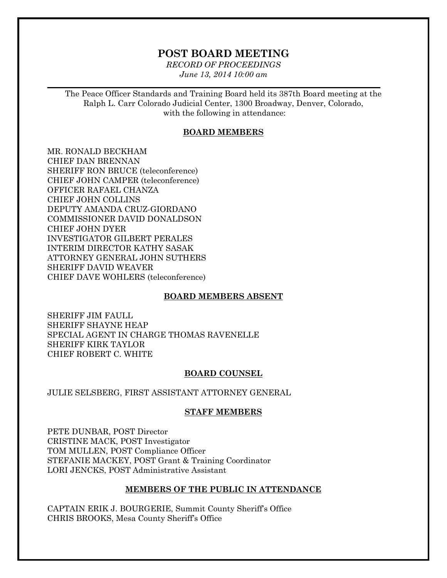## **POST BOARD MEETING**

*RECORD OF PROCEEDINGS June 13, 2014 10:00 am*

 $\mathcal{L}_\mathcal{L} = \mathcal{L}_\mathcal{L} = \mathcal{L}_\mathcal{L} = \mathcal{L}_\mathcal{L} = \mathcal{L}_\mathcal{L} = \mathcal{L}_\mathcal{L} = \mathcal{L}_\mathcal{L} = \mathcal{L}_\mathcal{L} = \mathcal{L}_\mathcal{L} = \mathcal{L}_\mathcal{L} = \mathcal{L}_\mathcal{L} = \mathcal{L}_\mathcal{L} = \mathcal{L}_\mathcal{L} = \mathcal{L}_\mathcal{L} = \mathcal{L}_\mathcal{L} = \mathcal{L}_\mathcal{L} = \mathcal{L}_\mathcal{L}$ 

The Peace Officer Standards and Training Board held its 387th Board meeting at the Ralph L. Carr Colorado Judicial Center, 1300 Broadway, Denver, Colorado, with the following in attendance:

#### **BOARD MEMBERS**

MR. RONALD BECKHAM CHIEF DAN BRENNAN SHERIFF RON BRUCE (teleconference) CHIEF JOHN CAMPER (teleconference) OFFICER RAFAEL CHANZA CHIEF JOHN COLLINS DEPUTY AMANDA CRUZ-GIORDANO COMMISSIONER DAVID DONALDSON CHIEF JOHN DYER INVESTIGATOR GILBERT PERALES INTERIM DIRECTOR KATHY SASAK ATTORNEY GENERAL JOHN SUTHERS SHERIFF DAVID WEAVER CHIEF DAVE WOHLERS (teleconference)

#### **BOARD MEMBERS ABSENT**

SHERIFF JIM FAULL SHERIFF SHAYNE HEAP SPECIAL AGENT IN CHARGE THOMAS RAVENELLE SHERIFF KIRK TAYLOR CHIEF ROBERT C. WHITE

#### **BOARD COUNSEL**

JULIE SELSBERG, FIRST ASSISTANT ATTORNEY GENERAL

#### **STAFF MEMBERS**

PETE DUNBAR, POST Director CRISTINE MACK, POST Investigator TOM MULLEN, POST Compliance Officer STEFANIE MACKEY, POST Grant & Training Coordinator LORI JENCKS, POST Administrative Assistant

#### **MEMBERS OF THE PUBLIC IN ATTENDANCE**

CAPTAIN ERIK J. BOURGERIE, Summit County Sheriff's Office CHRIS BROOKS, Mesa County Sheriff's Office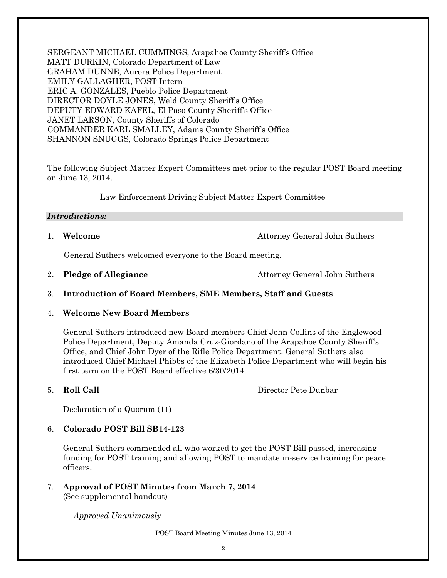SERGEANT MICHAEL CUMMINGS, Arapahoe County Sheriff's Office MATT DURKIN, Colorado Department of Law GRAHAM DUNNE, Aurora Police Department EMILY GALLAGHER, POST Intern ERIC A. GONZALES, Pueblo Police Department DIRECTOR DOYLE JONES, Weld County Sheriff's Office DEPUTY EDWARD KAFEL, El Paso County Sheriff's Office JANET LARSON, County Sheriffs of Colorado COMMANDER KARL SMALLEY, Adams County Sheriff's Office SHANNON SNUGGS, Colorado Springs Police Department

The following Subject Matter Expert Committees met prior to the regular POST Board meeting on June 13, 2014.

Law Enforcement Driving Subject Matter Expert Committee

#### *Introductions:*

1. **Welcome Attorney General John Suthers** 

General Suthers welcomed everyone to the Board meeting.

- 2. **Pledge of Allegiance** Attorney General John Suthers
- 3. **Introduction of Board Members, SME Members, Staff and Guests**
- 4. **Welcome New Board Members**

General Suthers introduced new Board members Chief John Collins of the Englewood Police Department, Deputy Amanda Cruz-Giordano of the Arapahoe County Sheriff's Office, and Chief John Dyer of the Rifle Police Department. General Suthers also introduced Chief Michael Phibbs of the Elizabeth Police Department who will begin his first term on the POST Board effective 6/30/2014.

5. **Roll Call** Director Pete Dunbar

Declaration of a Quorum (11)

## 6. **Colorado POST Bill SB14-123**

General Suthers commended all who worked to get the POST Bill passed, increasing funding for POST training and allowing POST to mandate in-service training for peace officers.

7. **Approval of POST Minutes from March 7, 2014** (See supplemental handout)

*Approved Unanimously*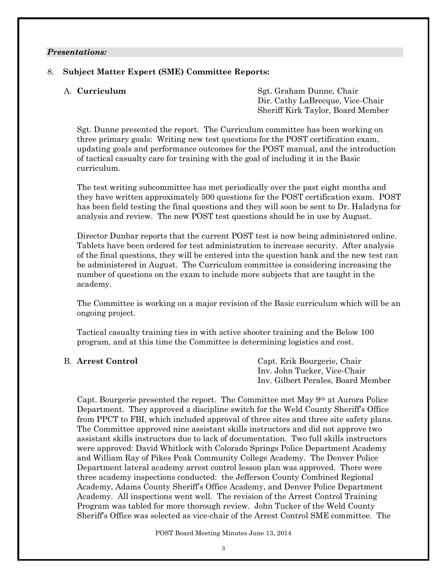#### *Presentations:*

#### 8. **Subject Matter Expert (SME) Committee Reports:**

A. **Curriculum** Sgt. Graham Dunne, Chair Dir. Cathy LaBrecque, Vice-Chair Sheriff Kirk Taylor, Board Member

Sgt. Dunne presented the report. The Curriculum committee has been working on three primary goals: Writing new test questions for the POST certification exam, updating goals and performance outcomes for the POST manual, and the introduction of tactical casualty care for training with the goal of including it in the Basic curriculum.

The test writing subcommittee has met periodically over the past eight months and they have written approximately 500 questions for the POST certification exam. POST has been field testing the final questions and they will soon be sent to Dr. Haladyna for analysis and review. The new POST test questions should be in use by August.

Director Dunbar reports that the current POST test is now being administered online. Tablets have been ordered for test administration to increase security. After analysis of the final questions, they will be entered into the question bank and the new test can be administered in August. The Curriculum committee is considering increasing the number of questions on the exam to include more subjects that are taught in the academy.

The Committee is working on a major revision of the Basic curriculum which will be an ongoing project.

Tactical casualty training ties in with active shooter training and the Below 100 program, and at this time the Committee is determining logistics and cost.

B. **Arrest Control** Capt. Erik Bourgerie, Chair Inv. John Tucker, Vice-Chair Inv. Gilbert Perales, Board Member

Capt. Bourgerie presented the report. The Committee met May 9th at Aurora Police Department. They approved a discipline switch for the Weld County Sheriff's Office from PPCT to FBI, which included approval of three sites and three site safety plans. The Committee approved nine assistant skills instructors and did not approve two assistant skills instructors due to lack of documentation. Two full skills instructors were approved: David Whitlock with Colorado Springs Police Department Academy and William Ray of Pikes Peak Community College Academy. The Denver Police Department lateral academy arrest control lesson plan was approved. There were three academy inspections conducted: the Jefferson County Combined Regional Academy, Adams County Sheriff's Office Academy, and Denver Police Department Academy. All inspections went well. The revision of the Arrest Control Training Program was tabled for more thorough review. John Tucker of the Weld County Sheriff's Office was selected as vice-chair of the Arrest Control SME committee. The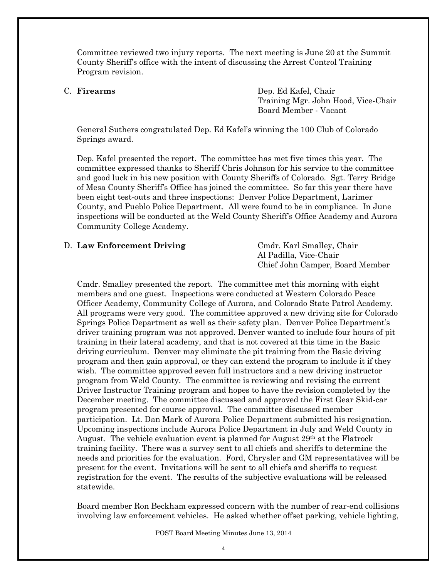Committee reviewed two injury reports. The next meeting is June 20 at the Summit County Sheriff's office with the intent of discussing the Arrest Control Training Program revision.

C. **Firearms** Dep. Ed Kafel, Chair Training Mgr. John Hood, Vice-Chair Board Member - Vacant

General Suthers congratulated Dep. Ed Kafel's winning the 100 Club of Colorado Springs award.

Dep. Kafel presented the report. The committee has met five times this year. The committee expressed thanks to Sheriff Chris Johnson for his service to the committee and good luck in his new position with County Sheriffs of Colorado. Sgt. Terry Bridge of Mesa County Sheriff's Office has joined the committee. So far this year there have been eight test-outs and three inspections: Denver Police Department, Larimer County, and Pueblo Police Department. All were found to be in compliance. In June inspections will be conducted at the Weld County Sheriff's Office Academy and Aurora Community College Academy.

#### D. Law Enforcement Driving Cmdr. Karl Smalley, Chair

Al Padilla, Vice-Chair Chief John Camper, Board Member

Cmdr. Smalley presented the report. The committee met this morning with eight members and one guest. Inspections were conducted at Western Colorado Peace Officer Academy, Community College of Aurora, and Colorado State Patrol Academy. All programs were very good. The committee approved a new driving site for Colorado Springs Police Department as well as their safety plan. Denver Police Department's driver training program was not approved. Denver wanted to include four hours of pit training in their lateral academy, and that is not covered at this time in the Basic driving curriculum. Denver may eliminate the pit training from the Basic driving program and then gain approval, or they can extend the program to include it if they wish. The committee approved seven full instructors and a new driving instructor program from Weld County. The committee is reviewing and revising the current Driver Instructor Training program and hopes to have the revision completed by the December meeting. The committee discussed and approved the First Gear Skid-car program presented for course approval. The committee discussed member participation. Lt. Dan Mark of Aurora Police Department submitted his resignation. Upcoming inspections include Aurora Police Department in July and Weld County in August. The vehicle evaluation event is planned for August  $29<sup>th</sup>$  at the Flatrock training facility. There was a survey sent to all chiefs and sheriffs to determine the needs and priorities for the evaluation. Ford, Chrysler and GM representatives will be present for the event. Invitations will be sent to all chiefs and sheriffs to request registration for the event. The results of the subjective evaluations will be released statewide.

Board member Ron Beckham expressed concern with the number of rear-end collisions involving law enforcement vehicles. He asked whether offset parking, vehicle lighting,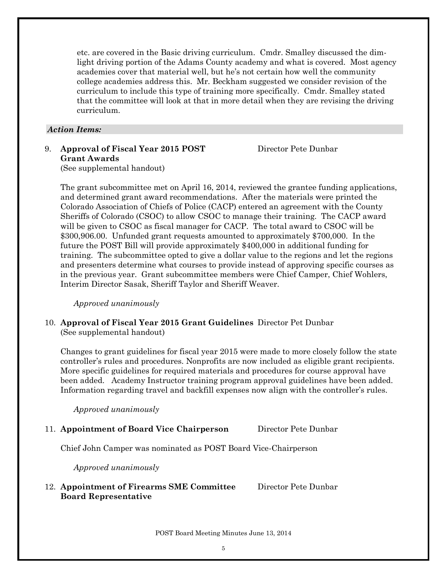etc. are covered in the Basic driving curriculum. Cmdr. Smalley discussed the dimlight driving portion of the Adams County academy and what is covered. Most agency academies cover that material well, but he's not certain how well the community college academies address this. Mr. Beckham suggested we consider revision of the curriculum to include this type of training more specifically. Cmdr. Smalley stated that the committee will look at that in more detail when they are revising the driving curriculum.

#### *Action Items:*

9. **Approval of Fiscal Year 2015 POST** Director Pete Dunbar **Grant Awards** (See supplemental handout)

The grant subcommittee met on April 16, 2014, reviewed the grantee funding applications, and determined grant award recommendations. After the materials were printed the Colorado Association of Chiefs of Police (CACP) entered an agreement with the County Sheriffs of Colorado (CSOC) to allow CSOC to manage their training. The CACP award will be given to CSOC as fiscal manager for CACP. The total award to CSOC will be \$300,906.00. Unfunded grant requests amounted to approximately \$700,000. In the future the POST Bill will provide approximately \$400,000 in additional funding for training. The subcommittee opted to give a dollar value to the regions and let the regions and presenters determine what courses to provide instead of approving specific courses as in the previous year. Grant subcommittee members were Chief Camper, Chief Wohlers, Interim Director Sasak, Sheriff Taylor and Sheriff Weaver.

*Approved unanimously*

10. **Approval of Fiscal Year 2015 Grant Guidelines** Director Pet Dunbar (See supplemental handout)

Changes to grant guidelines for fiscal year 2015 were made to more closely follow the state controller's rules and procedures. Nonprofits are now included as eligible grant recipients. More specific guidelines for required materials and procedures for course approval have been added. Academy Instructor training program approval guidelines have been added. Information regarding travel and backfill expenses now align with the controller's rules.

*Approved unanimously*

## 11. **Appointment of Board Vice Chairperson** Director Pete Dunbar

Chief John Camper was nominated as POST Board Vice-Chairperson

*Approved unanimously*

### 12. **Appointment of Firearms SME Committee** Director Pete Dunbar **Board Representative**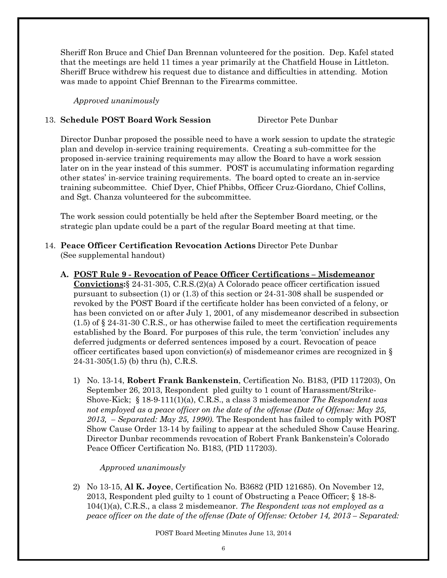Sheriff Ron Bruce and Chief Dan Brennan volunteered for the position. Dep. Kafel stated that the meetings are held 11 times a year primarily at the Chatfield House in Littleton. Sheriff Bruce withdrew his request due to distance and difficulties in attending. Motion was made to appoint Chief Brennan to the Firearms committee.

*Approved unanimously*

### 13. **Schedule POST Board Work Session** Director Pete Dunbar

Director Dunbar proposed the possible need to have a work session to update the strategic plan and develop in-service training requirements. Creating a sub-committee for the proposed in-service training requirements may allow the Board to have a work session later on in the year instead of this summer. POST is accumulating information regarding other states' in-service training requirements. The board opted to create an in-service training subcommittee. Chief Dyer, Chief Phibbs, Officer Cruz-Giordano, Chief Collins, and Sgt. Chanza volunteered for the subcommittee.

The work session could potentially be held after the September Board meeting, or the strategic plan update could be a part of the regular Board meeting at that time.

- 14. **Peace Officer Certification Revocation Actions** Director Pete Dunbar (See supplemental handout)
	- **A. POST Rule 9 - Revocation of Peace Officer Certifications – Misdemeanor Convictions:**§ 24-31-305, C.R.S.(2)(a) A Colorado peace officer certification issued pursuant to subsection (1) or (1.3) of this section or 24-31-308 shall be suspended or revoked by the POST Board if the certificate holder has been convicted of a felony, or has been convicted on or after July 1, 2001, of any misdemeanor described in subsection (1.5) of § 24-31-30 C.R.S., or has otherwise failed to meet the certification requirements established by the Board. For purposes of this rule, the term 'conviction' includes any deferred judgments or deferred sentences imposed by a court. Revocation of peace officer certificates based upon conviction(s) of misdemeanor crimes are recognized in § 24-31-305(1.5) (b) thru (h), C.R.S.
		- 1) No. 13-14, **Robert Frank Bankenstein**, Certification No. B183, (PID 117203), On September 26, 2013, Respondent pled guilty to 1 count of Harassment/Strike-Shove-Kick; § 18-9-111(1)(a), C.R.S., a class 3 misdemeanor *The Respondent was not employed as a peace officer on the date of the offense (Date of Offense: May 25, 2013, – Separated: May 25, 1990).* The Respondent has failed to comply with POST Show Cause Order 13-14 by failing to appear at the scheduled Show Cause Hearing. Director Dunbar recommends revocation of Robert Frank Bankenstein's Colorado Peace Officer Certification No. B183, (PID 117203).

## *Approved unanimously*

2) No 13-15, **Al K. Joyce**, Certification No. B3682 (PID 121685). On November 12, 2013, Respondent pled guilty to 1 count of Obstructing a Peace Officer; § 18-8- 104(1)(a), C.R.S., a class 2 misdemeanor. *The Respondent was not employed as a peace officer on the date of the offense (Date of Offense: October 14, 2013 – Separated:*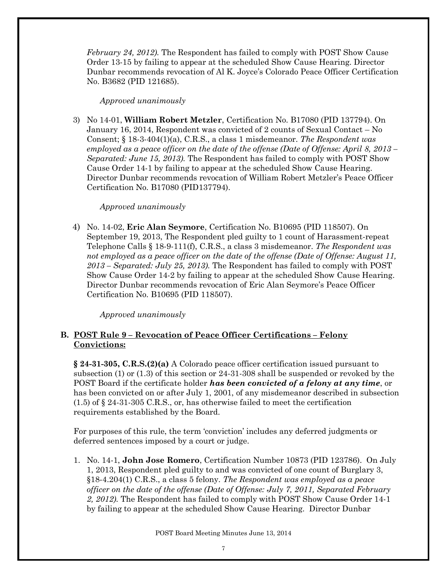*February 24, 2012).* The Respondent has failed to comply with POST Show Cause Order 13-15 by failing to appear at the scheduled Show Cause Hearing. Director Dunbar recommends revocation of Al K. Joyce's Colorado Peace Officer Certification No. B3682 (PID 121685).

### *Approved unanimously*

3) No 14-01, **William Robert Metzler**, Certification No. B17080 (PID 137794). On January 16, 2014, Respondent was convicted of 2 counts of Sexual Contact – No Consent; § 18-3-404(1)(a), C.R.S., a class 1 misdemeanor. *The Respondent was employed as a peace officer on the date of the offense (Date of Offense: April 8, 2013 – Separated: June 15, 2013).* The Respondent has failed to comply with POST Show Cause Order 14-1 by failing to appear at the scheduled Show Cause Hearing. Director Dunbar recommends revocation of William Robert Metzler's Peace Officer Certification No. B17080 (PID137794).

## *Approved unanimously*

4) No. 14-02, **Eric Alan Seymore**, Certification No. B10695 (PID 118507). On September 19, 2013, The Respondent pled guilty to 1 count of Harassment-repeat Telephone Calls § 18-9-111(f), C.R.S., a class 3 misdemeanor. *The Respondent was not employed as a peace officer on the date of the offense (Date of Offense: August 11, 2013 – Separated: July 25, 2013).* The Respondent has failed to comply with POST Show Cause Order 14-2 by failing to appear at the scheduled Show Cause Hearing. Director Dunbar recommends revocation of Eric Alan Seymore's Peace Officer Certification No. B10695 (PID 118507).

*Approved unanimously*

## **B. POST Rule 9 – Revocation of Peace Officer Certifications – Felony Convictions:**

**§ 24-31-305, C.R.S.(2)(a)** A Colorado peace officer certification issued pursuant to subsection (1) or (1.3) of this section or 24-31-308 shall be suspended or revoked by the POST Board if the certificate holder *has been convicted of a felony at any time*, or has been convicted on or after July 1, 2001, of any misdemeanor described in subsection (1.5) of § 24-31-305 C.R.S., or, has otherwise failed to meet the certification requirements established by the Board.

For purposes of this rule, the term 'conviction' includes any deferred judgments or deferred sentences imposed by a court or judge.

1. No. 14-1, **John Jose Romero**, Certification Number 10873 (PID 123786). On July 1, 2013, Respondent pled guilty to and was convicted of one count of Burglary 3, §18-4.204(1) C.R.S., a class 5 felony. *The Respondent was employed as a peace officer on the date of the offense (Date of Offense: July 7, 2011, Separated February 2, 2012).* The Respondent has failed to comply with POST Show Cause Order 14-1 by failing to appear at the scheduled Show Cause Hearing. Director Dunbar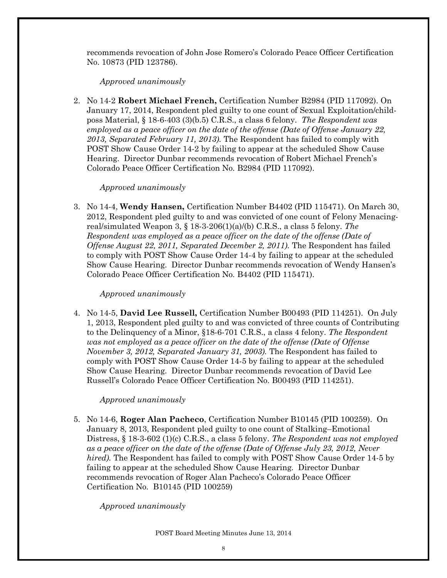recommends revocation of John Jose Romero's Colorado Peace Officer Certification No. 10873 (PID 123786).

#### *Approved unanimously*

2. No 14-2 **Robert Michael French,** Certification Number B2984 (PID 117092). On January 17, 2014, Respondent pled guilty to one count of Sexual Exploitation/childposs Material, § 18-6-403 (3)(b.5) C.R.S., a class 6 felony. *The Respondent was employed as a peace officer on the date of the offense (Date of Offense January 22, 2013, Separated February 11, 2013).* The Respondent has failed to comply with POST Show Cause Order 14-2 by failing to appear at the scheduled Show Cause Hearing. Director Dunbar recommends revocation of Robert Michael French's Colorado Peace Officer Certification No. B2984 (PID 117092).

#### *Approved unanimously*

3. No 14-4, **Wendy Hansen,** Certification Number B4402 (PID 115471). On March 30, 2012, Respondent pled guilty to and was convicted of one count of Felony Menacingreal/simulated Weapon 3, § 18-3-206(1)(a)/(b) C.R.S., a class 5 felony. *The Respondent was employed as a peace officer on the date of the offense (Date of Offense August 22, 2011, Separated December 2, 2011).* The Respondent has failed to comply with POST Show Cause Order 14-4 by failing to appear at the scheduled Show Cause Hearing. Director Dunbar recommends revocation of Wendy Hansen's Colorado Peace Officer Certification No. B4402 (PID 115471).

### *Approved unanimously*

4. No 14-5, **David Lee Russell,** Certification Number B00493 (PID 114251). On July 1, 2013, Respondent pled guilty to and was convicted of three counts of Contributing to the Delinquency of a Minor, §18-6-701 C.R.S., a class 4 felony. *The Respondent was not employed as a peace officer on the date of the offense (Date of Offense November 3, 2012, Separated January 31, 2003).* The Respondent has failed to comply with POST Show Cause Order 14-5 by failing to appear at the scheduled Show Cause Hearing. Director Dunbar recommends revocation of David Lee Russell's Colorado Peace Officer Certification No. B00493 (PID 114251).

## *Approved unanimously*

5. No 14-6, **Roger Alan Pacheco**, Certification Number B10145 (PID 100259). On January 8, 2013, Respondent pled guilty to one count of Stalking–Emotional Distress, § 18-3-602 (1)(c) C.R.S., a class 5 felony. *The Respondent was not employed as a peace officer on the date of the offense (Date of Offense July 23, 2012, Never hired).* The Respondent has failed to comply with POST Show Cause Order 14-5 by failing to appear at the scheduled Show Cause Hearing. Director Dunbar recommends revocation of Roger Alan Pacheco's Colorado Peace Officer Certification No. B10145 (PID 100259)

## *Approved unanimously*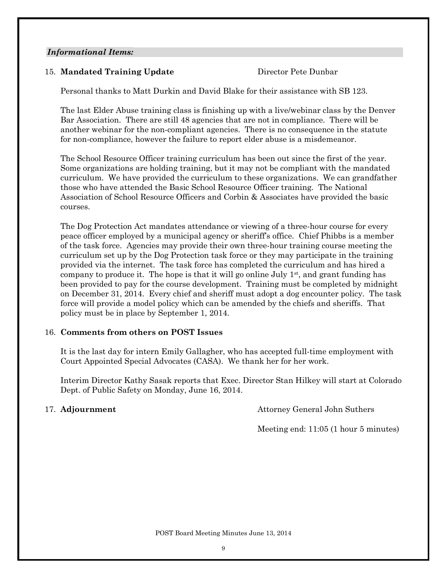#### *Informational Items:*

## 15. **Mandated Training Update** Director Pete Dunbar

Personal thanks to Matt Durkin and David Blake for their assistance with SB 123.

The last Elder Abuse training class is finishing up with a live/webinar class by the Denver Bar Association. There are still 48 agencies that are not in compliance. There will be another webinar for the non-compliant agencies. There is no consequence in the statute for non-compliance, however the failure to report elder abuse is a misdemeanor.

The School Resource Officer training curriculum has been out since the first of the year. Some organizations are holding training, but it may not be compliant with the mandated curriculum. We have provided the curriculum to these organizations. We can grandfather those who have attended the Basic School Resource Officer training. The National Association of School Resource Officers and Corbin & Associates have provided the basic courses.

The Dog Protection Act mandates attendance or viewing of a three-hour course for every peace officer employed by a municipal agency or sheriff's office. Chief Phibbs is a member of the task force. Agencies may provide their own three-hour training course meeting the curriculum set up by the Dog Protection task force or they may participate in the training provided via the internet. The task force has completed the curriculum and has hired a company to produce it. The hope is that it will go online July  $1<sup>st</sup>$ , and grant funding has been provided to pay for the course development. Training must be completed by midnight on December 31, 2014. Every chief and sheriff must adopt a dog encounter policy. The task force will provide a model policy which can be amended by the chiefs and sheriffs. That policy must be in place by September 1, 2014.

## 16. **Comments from others on POST Issues**

It is the last day for intern Emily Gallagher, who has accepted full-time employment with Court Appointed Special Advocates (CASA). We thank her for her work.

Interim Director Kathy Sasak reports that Exec. Director Stan Hilkey will start at Colorado Dept. of Public Safety on Monday, June 16, 2014.

17. **Adjournment Attorney General John Suthers** 

Meeting end: 11:05 (1 hour 5 minutes)